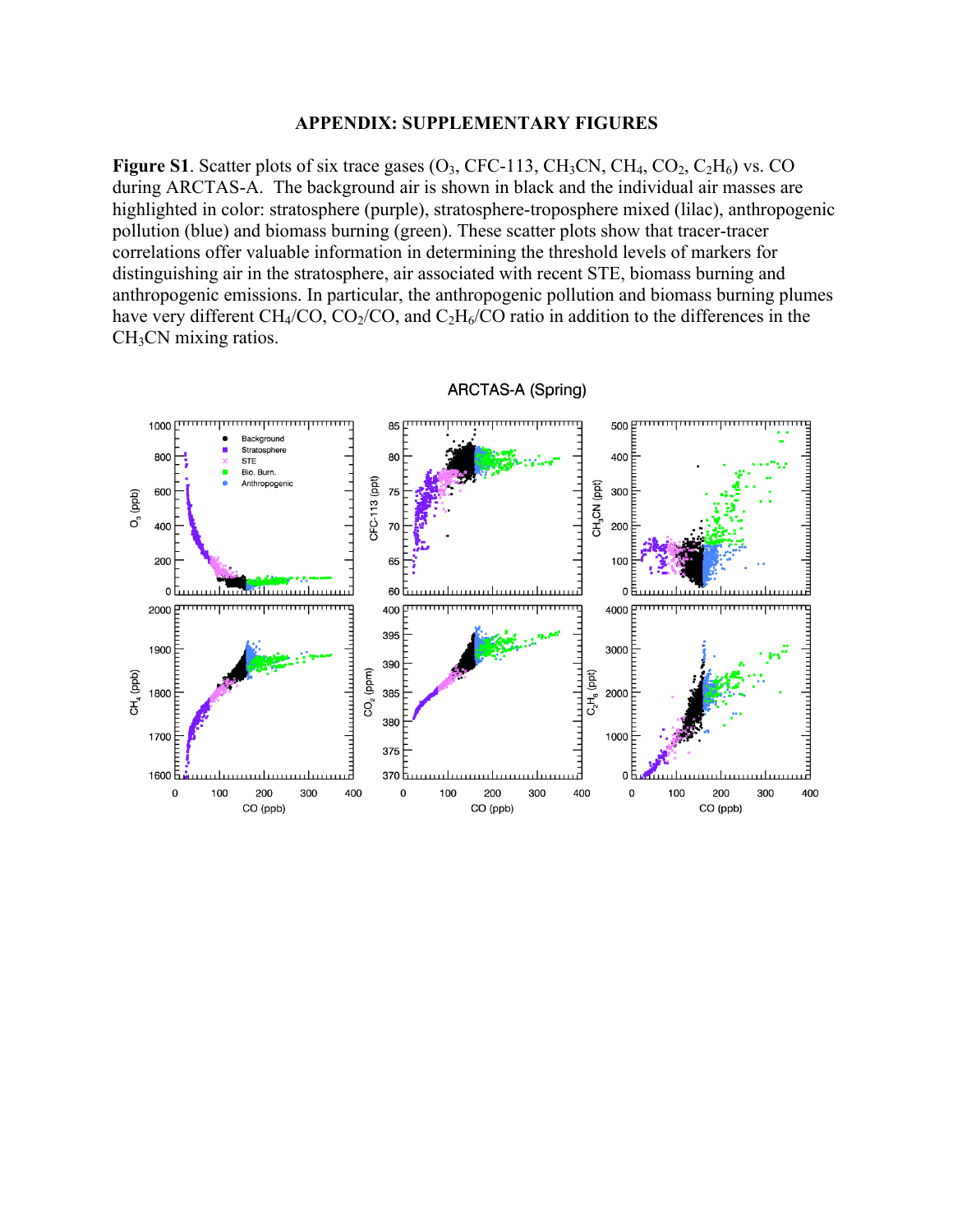## **APPENDIX: SUPPLEMENTARY FIGURES**

**Figure S1**. Scatter plots of six trace gases  $(O_3, CFC-113, CH_3CN, CH_4, CO_2, C_2H_6)$  vs. CO during ARCTAS-A. The background air is shown in black and the individual air masses are highlighted in color: stratosphere (purple), stratosphere-troposphere mixed (lilac), anthropogenic pollution (blue) and biomass burning (green). These scatter plots show that tracer-tracer correlations offer valuable information in determining the threshold levels of markers for distinguishing air in the stratosphere, air associated with recent STE, biomass burning and anthropogenic emissions. In particular, the anthropogenic pollution and biomass burning plumes have very different CH<sub>4</sub>/CO, CO<sub>2</sub>/CO, and C<sub>2</sub>H<sub>6</sub>/CO ratio in addition to the differences in the CH<sub>3</sub>CN mixing ratios.



ARCTAS-A (Spring)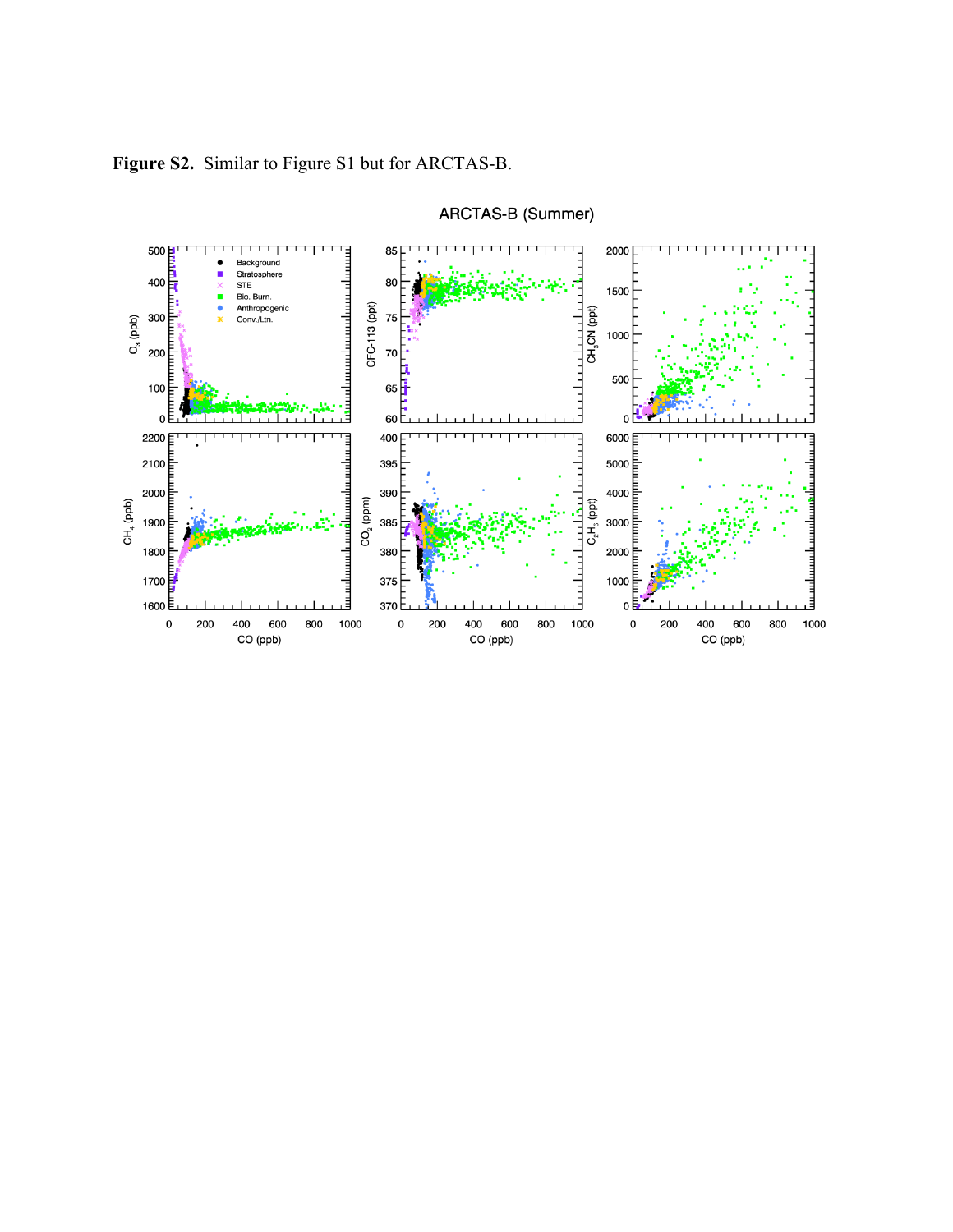

ARCTAS-B (Summer)

**Figure S2.** Similar to Figure S1 but for ARCTAS-B.